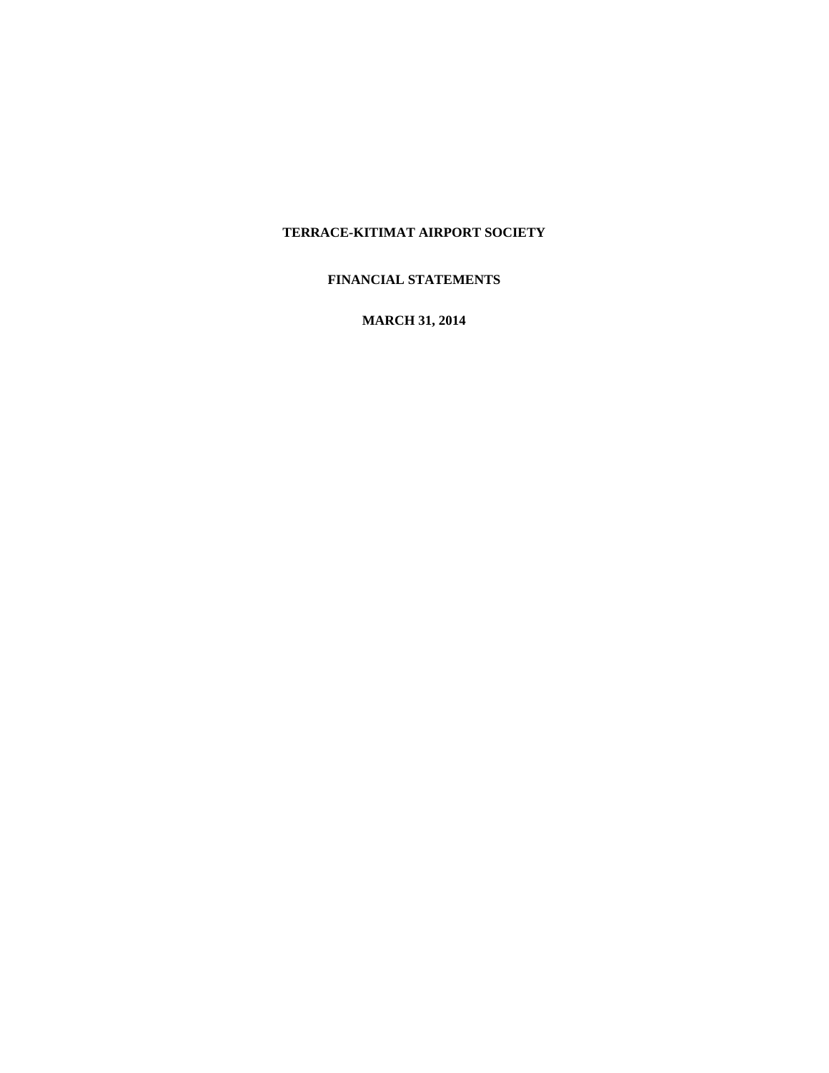## **FINANCIAL STATEMENTS**

**MARCH 31, 2014**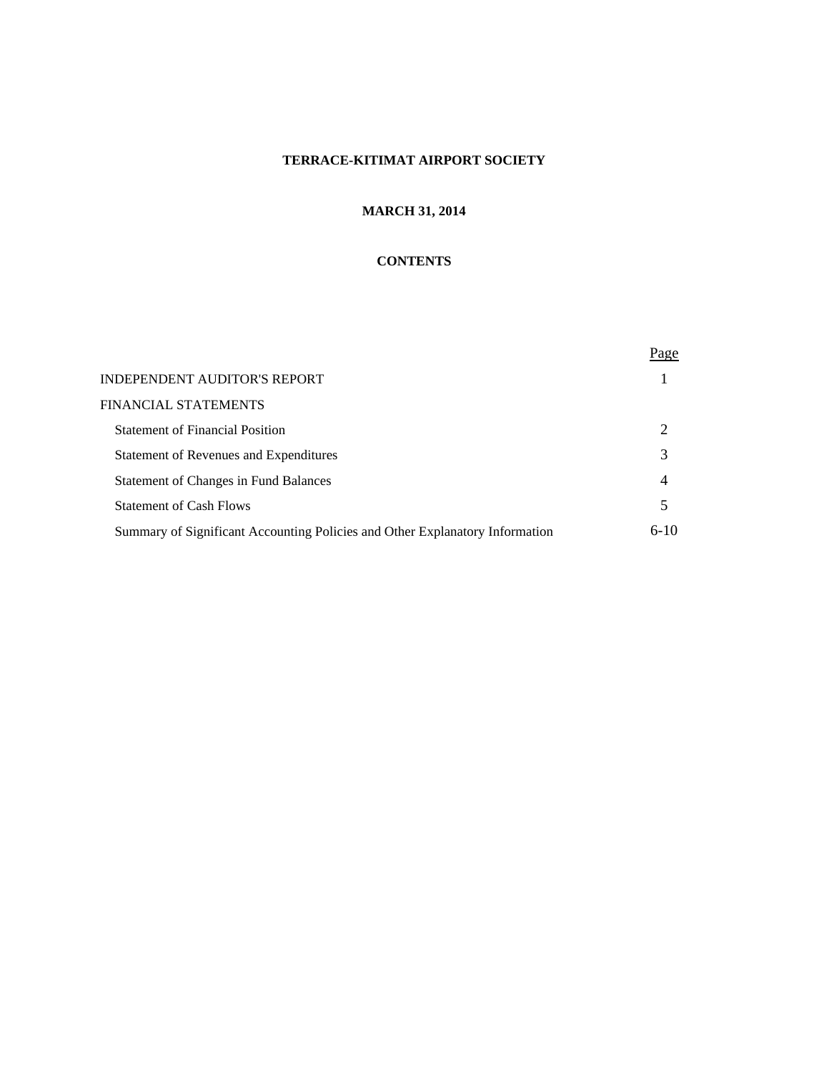# **MARCH 31, 2014**

# **CONTENTS**

|                                                                              | Page                        |
|------------------------------------------------------------------------------|-----------------------------|
| INDEPENDENT AUDITOR'S REPORT                                                 |                             |
| FINANCIAL STATEMENTS                                                         |                             |
| <b>Statement of Financial Position</b>                                       | $\mathcal{D}_{\mathcal{L}}$ |
| Statement of Revenues and Expenditures                                       | 3                           |
| <b>Statement of Changes in Fund Balances</b>                                 | 4                           |
| <b>Statement of Cash Flows</b>                                               |                             |
| Summary of Significant Accounting Policies and Other Explanatory Information | $6-10$                      |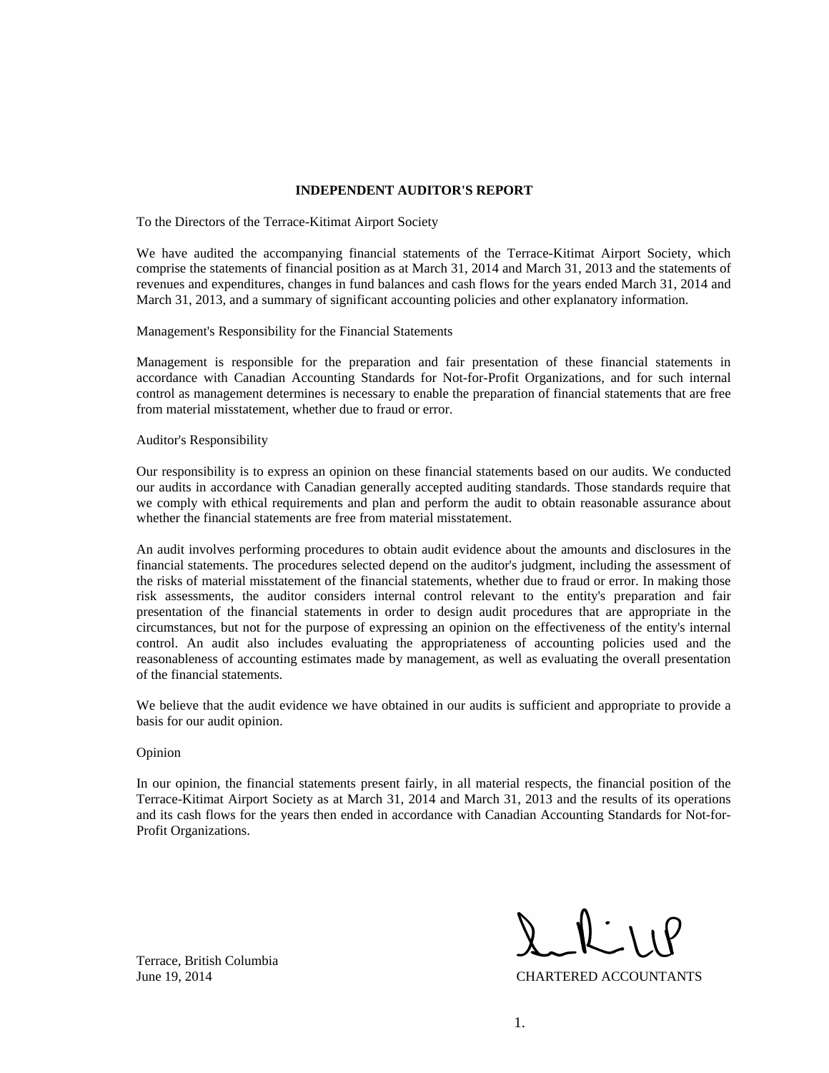#### **INDEPENDENT AUDITOR'S REPORT**

To the Directors of the Terrace-Kitimat Airport Society

We have audited the accompanying financial statements of the Terrace-Kitimat Airport Society, which comprise the statements of financial position as at March 31, 2014 and March 31, 2013 and the statements of revenues and expenditures, changes in fund balances and cash flows for the years ended March 31, 2014 and March 31, 2013, and a summary of significant accounting policies and other explanatory information.

Management's Responsibility for the Financial Statements

Management is responsible for the preparation and fair presentation of these financial statements in accordance with Canadian Accounting Standards for Not-for-Profit Organizations, and for such internal control as management determines is necessary to enable the preparation of financial statements that are free from material misstatement, whether due to fraud or error.

Auditor's Responsibility

Our responsibility is to express an opinion on these financial statements based on our audits. We conducted our audits in accordance with Canadian generally accepted auditing standards. Those standards require that we comply with ethical requirements and plan and perform the audit to obtain reasonable assurance about whether the financial statements are free from material misstatement.

An audit involves performing procedures to obtain audit evidence about the amounts and disclosures in the financial statements. The procedures selected depend on the auditor's judgment, including the assessment of the risks of material misstatement of the financial statements, whether due to fraud or error. In making those risk assessments, the auditor considers internal control relevant to the entity's preparation and fair presentation of the financial statements in order to design audit procedures that are appropriate in the circumstances, but not for the purpose of expressing an opinion on the effectiveness of the entity's internal control. An audit also includes evaluating the appropriateness of accounting policies used and the reasonableness of accounting estimates made by management, as well as evaluating the overall presentation of the financial statements.

We believe that the audit evidence we have obtained in our audits is sufficient and appropriate to provide a basis for our audit opinion.

## Opinion

In our opinion, the financial statements present fairly, in all material respects, the financial position of the Terrace-Kitimat Airport Society as at March 31, 2014 and March 31, 2013 and the results of its operations and its cash flows for the years then ended in accordance with Canadian Accounting Standards for Not-for-Profit Organizations.

Terrace, British Columbia June 19, 2014 CHARTERED ACCOUNTANTS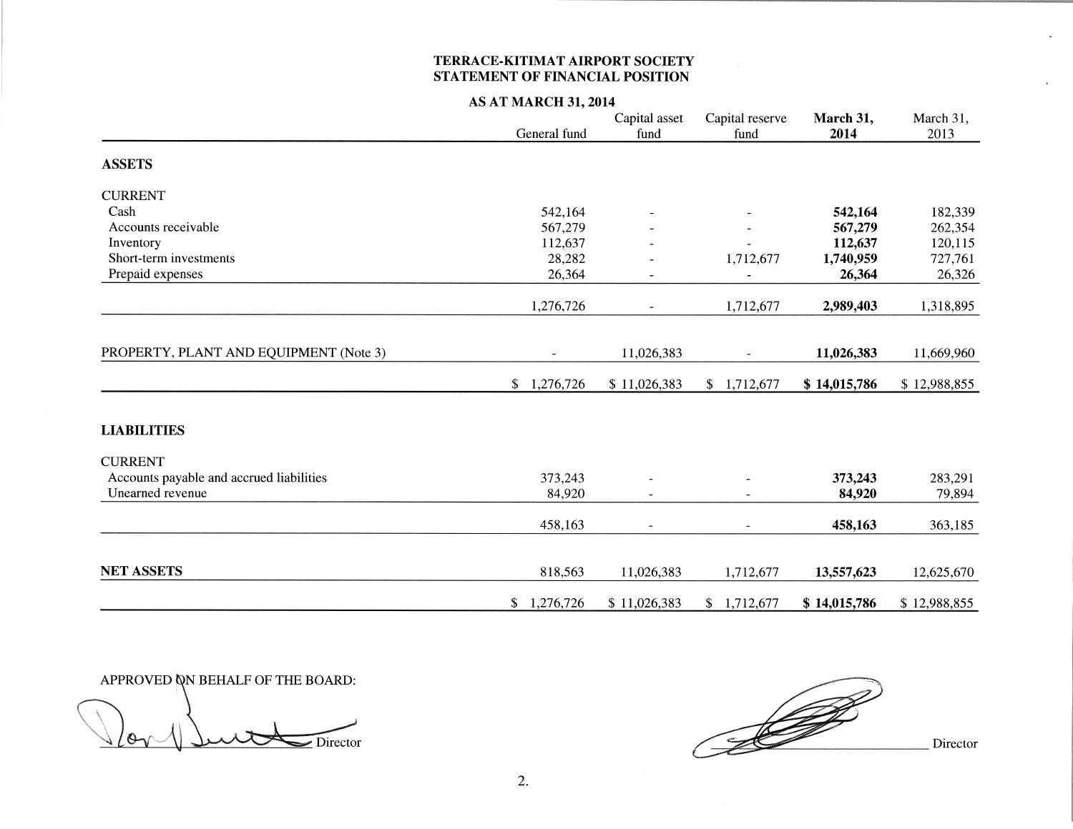## TERRACE-KITIMAT AIRPORT SOCIETY STATEMENT OF FINANCIAL POSITION

# **AS AT MARCH 31, 2014**

|                                          | General fund              | Capital asset<br>fund        | Capital reserve<br>fund | March 31,<br>2014 | March 31,<br>2013 |
|------------------------------------------|---------------------------|------------------------------|-------------------------|-------------------|-------------------|
| <b>ASSETS</b>                            |                           |                              |                         |                   |                   |
| <b>CURRENT</b>                           |                           |                              |                         |                   |                   |
| Cash                                     | 542,164                   |                              |                         | 542,164           | 182,339           |
| Accounts receivable                      | 567,279                   |                              |                         | 567,279           | 262,354           |
| Inventory                                | 112,637                   |                              |                         | 112,637           | 120,115           |
| Short-term investments                   | 28,282                    |                              | 1,712,677               | 1,740,959         | 727,761           |
| Prepaid expenses                         | 26,364                    | $\qquad \qquad \blacksquare$ |                         | 26,364            | 26,326            |
|                                          | 1,276,726                 |                              | 1,712,677               | 2,989,403         | 1,318,895         |
|                                          |                           |                              |                         |                   |                   |
| PROPERTY, PLANT AND EQUIPMENT (Note 3)   | $\overline{\phantom{a}}$  | 11,026,383                   | $\blacksquare$          | 11,026,383        | 11,669,960        |
|                                          | 1,276,726<br>$\mathbb{S}$ | \$11,026,383                 | 1,712,677<br>\$         | \$14,015,786      | \$12,988,855      |
| <b>LIABILITIES</b>                       |                           |                              |                         |                   |                   |
| <b>CURRENT</b>                           |                           |                              |                         |                   |                   |
| Accounts payable and accrued liabilities | 373,243                   |                              |                         | 373,243           | 283,291           |
| Unearned revenue                         | 84,920                    |                              |                         | 84,920            | 79,894            |
|                                          | 458,163                   |                              |                         | 458,163           | 363,185           |
|                                          |                           |                              |                         |                   |                   |
| <b>NET ASSETS</b>                        | 818,563                   | 11,026,383                   | 1,712,677               | 13,557,623        | 12,625,670        |
|                                          | \$1,276,726               | \$11,026,383                 | \$1,712,677             | \$14,015,786      | \$12,988,855      |

APPROVED ON BEHALF OF THE BOARD:

O  $\sum$ Director

Æ Director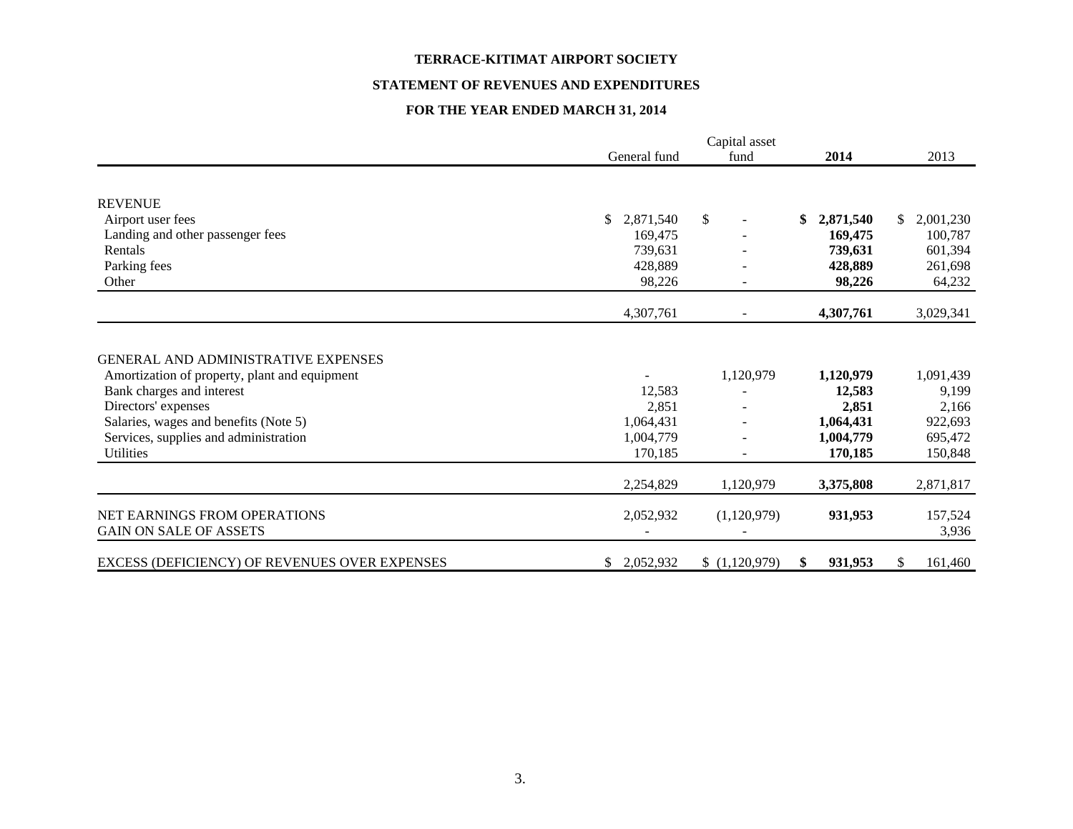#### **STATEMENT OF REVENUES AND EXPENDITURES**

# **FOR THE YEAR ENDED MARCH 31, 2014**

|                                                                                                                                                                                                                                   | Capital asset                             |               |                                                        |                                                   |
|-----------------------------------------------------------------------------------------------------------------------------------------------------------------------------------------------------------------------------------|-------------------------------------------|---------------|--------------------------------------------------------|---------------------------------------------------|
|                                                                                                                                                                                                                                   | General fund                              | fund          | 2014                                                   | 2013                                              |
|                                                                                                                                                                                                                                   |                                           |               |                                                        |                                                   |
| <b>REVENUE</b>                                                                                                                                                                                                                    |                                           |               |                                                        |                                                   |
| Airport user fees                                                                                                                                                                                                                 | 2,871,540<br>\$                           | \$<br>$\sim$  | 2,871,540<br>\$                                        | 2,001,230<br>\$.                                  |
| Landing and other passenger fees                                                                                                                                                                                                  | 169,475                                   |               | 169,475                                                | 100,787                                           |
| Rentals                                                                                                                                                                                                                           | 739,631                                   |               | 739,631                                                | 601,394                                           |
| Parking fees                                                                                                                                                                                                                      | 428,889                                   |               | 428,889                                                | 261,698                                           |
| Other                                                                                                                                                                                                                             | 98,226                                    |               | 98,226                                                 | 64,232                                            |
|                                                                                                                                                                                                                                   | 4,307,761                                 |               | 4,307,761                                              | 3,029,341                                         |
| <b>GENERAL AND ADMINISTRATIVE EXPENSES</b><br>Amortization of property, plant and equipment<br>Bank charges and interest<br>Directors' expenses<br>Salaries, wages and benefits (Note 5)<br>Services, supplies and administration | 12,583<br>2,851<br>1,064,431<br>1,004,779 | 1,120,979     | 1,120,979<br>12,583<br>2,851<br>1,064,431<br>1,004,779 | 1,091,439<br>9,199<br>2,166<br>922,693<br>695,472 |
| Utilities                                                                                                                                                                                                                         | 170,185                                   |               | 170,185                                                | 150,848                                           |
|                                                                                                                                                                                                                                   | 2,254,829                                 | 1,120,979     | 3,375,808                                              | 2,871,817                                         |
| NET EARNINGS FROM OPERATIONS<br><b>GAIN ON SALE OF ASSETS</b>                                                                                                                                                                     | 2,052,932                                 | (1,120,979)   | 931,953                                                | 157,524<br>3,936                                  |
| EXCESS (DEFICIENCY) OF REVENUES OVER EXPENSES                                                                                                                                                                                     | 2,052,932<br>S.                           | \$(1,120,979) | 931,953<br>\$                                          | \$<br>161,460                                     |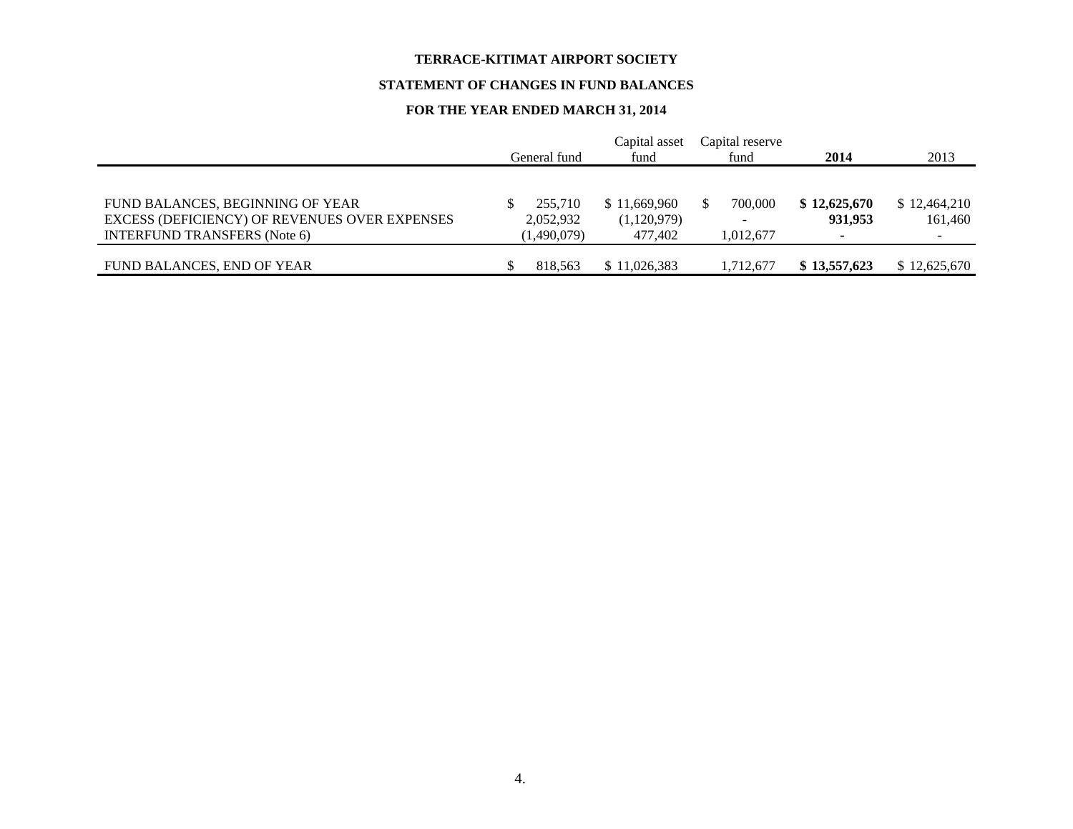#### **STATEMENT OF CHANGES IN FUND BALANCES**

# **FOR THE YEAR ENDED MARCH 31, 2014**

|                                               | General fund | Capital asset<br>fund | Capital reserve<br>fund | 2014         | 2013         |
|-----------------------------------------------|--------------|-----------------------|-------------------------|--------------|--------------|
|                                               |              |                       |                         |              |              |
| FUND BALANCES, BEGINNING OF YEAR              | 255,710      | \$11,669,960          | 700,000                 | \$12,625,670 | \$12,464,210 |
| EXCESS (DEFICIENCY) OF REVENUES OVER EXPENSES | 2,052,932    | (1,120,979)           |                         | 931.953      | 161.460      |
| <b>INTERFUND TRANSFERS</b> (Note 6)           | (1,490,079)  | 477.402               | 1.012.677               |              |              |
|                                               |              |                       |                         |              |              |
| FUND BALANCES, END OF YEAR                    | 818.563      | \$11,026,383          | 1,712,677               | \$13,557,623 | \$12,625,670 |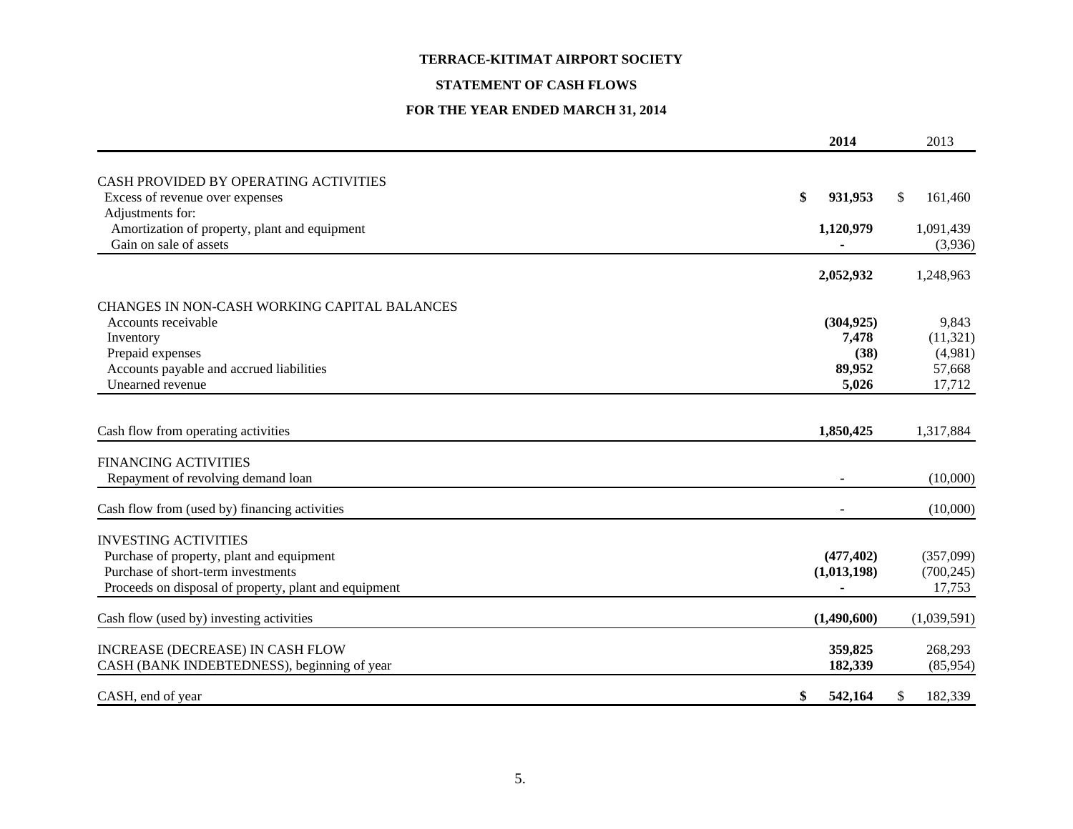#### **STATEMENT OF CASH FLOWS**

# **FOR THE YEAR ENDED MARCH 31, 2014**

|                                                       | 2014          | 2013          |
|-------------------------------------------------------|---------------|---------------|
| CASH PROVIDED BY OPERATING ACTIVITIES                 |               |               |
| Excess of revenue over expenses                       | \$<br>931,953 | \$<br>161,460 |
| Adjustments for:                                      |               |               |
| Amortization of property, plant and equipment         | 1,120,979     | 1,091,439     |
| Gain on sale of assets                                |               | (3,936)       |
|                                                       |               |               |
|                                                       | 2,052,932     | 1,248,963     |
| CHANGES IN NON-CASH WORKING CAPITAL BALANCES          |               |               |
| Accounts receivable                                   | (304, 925)    | 9,843         |
| Inventory                                             | 7,478         | (11, 321)     |
| Prepaid expenses                                      | (38)          | (4,981)       |
| Accounts payable and accrued liabilities              | 89,952        | 57,668        |
| Unearned revenue                                      | 5,026         | 17,712        |
| Cash flow from operating activities                   | 1,850,425     | 1,317,884     |
| <b>FINANCING ACTIVITIES</b>                           |               |               |
| Repayment of revolving demand loan                    |               | (10,000)      |
| Cash flow from (used by) financing activities         |               | (10,000)      |
| <b>INVESTING ACTIVITIES</b>                           |               |               |
| Purchase of property, plant and equipment             | (477, 402)    | (357,099)     |
| Purchase of short-term investments                    | (1,013,198)   | (700, 245)    |
| Proceeds on disposal of property, plant and equipment |               | 17,753        |
| Cash flow (used by) investing activities              | (1,490,600)   | (1,039,591)   |
| INCREASE (DECREASE) IN CASH FLOW                      | 359,825       | 268,293       |
| CASH (BANK INDEBTEDNESS), beginning of year           | 182,339       | (85,954)      |
| CASH, end of year                                     | 542,164<br>\$ | 182,339<br>S. |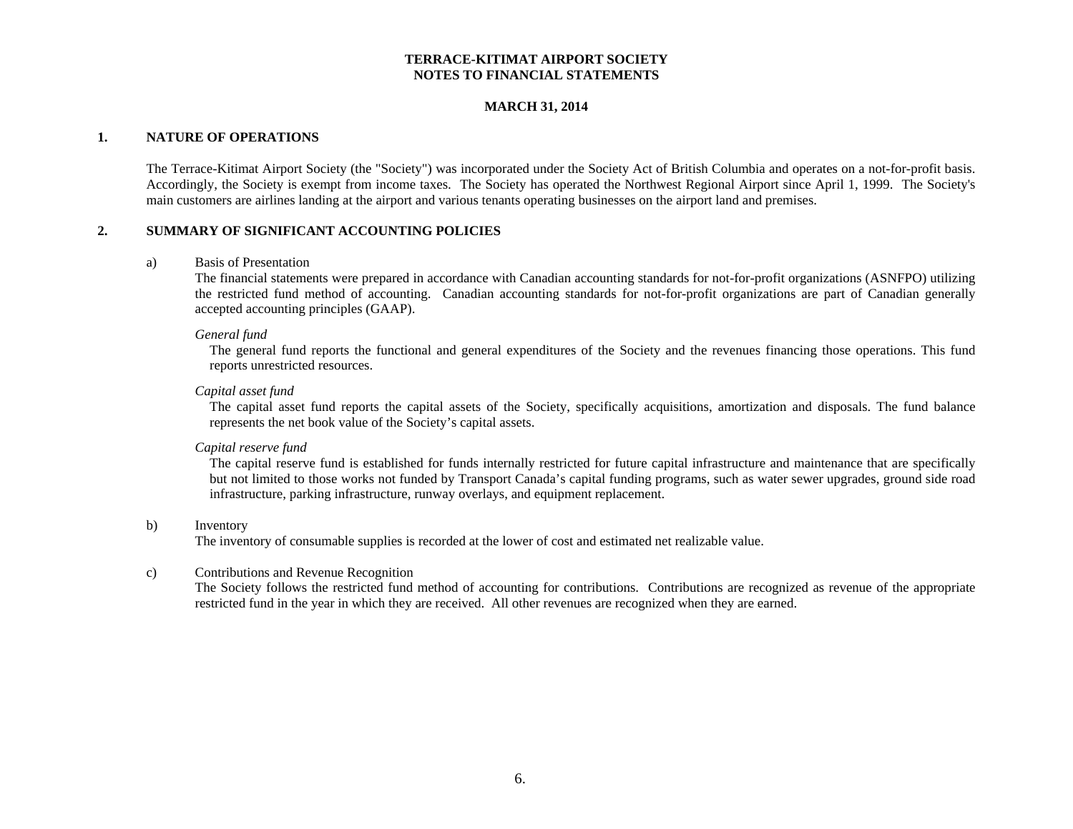### **MARCH 31, 2014**

## **1. NATURE OF OPERATIONS**

The Terrace-Kitimat Airport Society (the "Society") was incorporated under the Society Act of British Columbia and operates on a not-for-profit basis. Accordingly, the Society is exempt from income taxes. The Society has operated the Northwest Regional Airport since April 1, 1999. The Society's main customers are airlines landing at the airport and various tenants operating businesses on the airport land and premises.

## **2. SUMMARY OF SIGNIFICANT ACCOUNTING POLICIES**

#### a) Basis of Presentation

The financial statements were prepared in accordance with Canadian accounting standards for not-for-profit organizations (ASNFPO) utilizing the restricted fund method of accounting. Canadian accounting standards for not-for-profit organizations are part of Canadian generally accepted accounting principles (GAAP).

#### *General fund*

The general fund reports the functional and general expenditures of the Society and the revenues financing those operations. This fund reports unrestricted resources.

### *Capital asset fund*

The capital asset fund reports the capital assets of the Society, specifically acquisitions, amortization and disposals. The fund balance represents the net book value of the Society's capital assets.

### *Capital reserve fund*

The capital reserve fund is established for funds internally restricted for future capital infrastructure and maintenance that are specifically but not limited to those works not funded by Transport Canada's capital funding programs, such as water sewer upgrades, ground side road infrastructure, parking infrastructure, runway overlays, and equipment replacement.

### b) Inventory

The inventory of consumable supplies is recorded at the lower of cost and estimated net realizable value.

### c) Contributions and Revenue Recognition

The Society follows the restricted fund method of accounting for contributions. Contributions are recognized as revenue of the appropriate restricted fund in the year in which they are received. All other revenues are recognized when they are earned.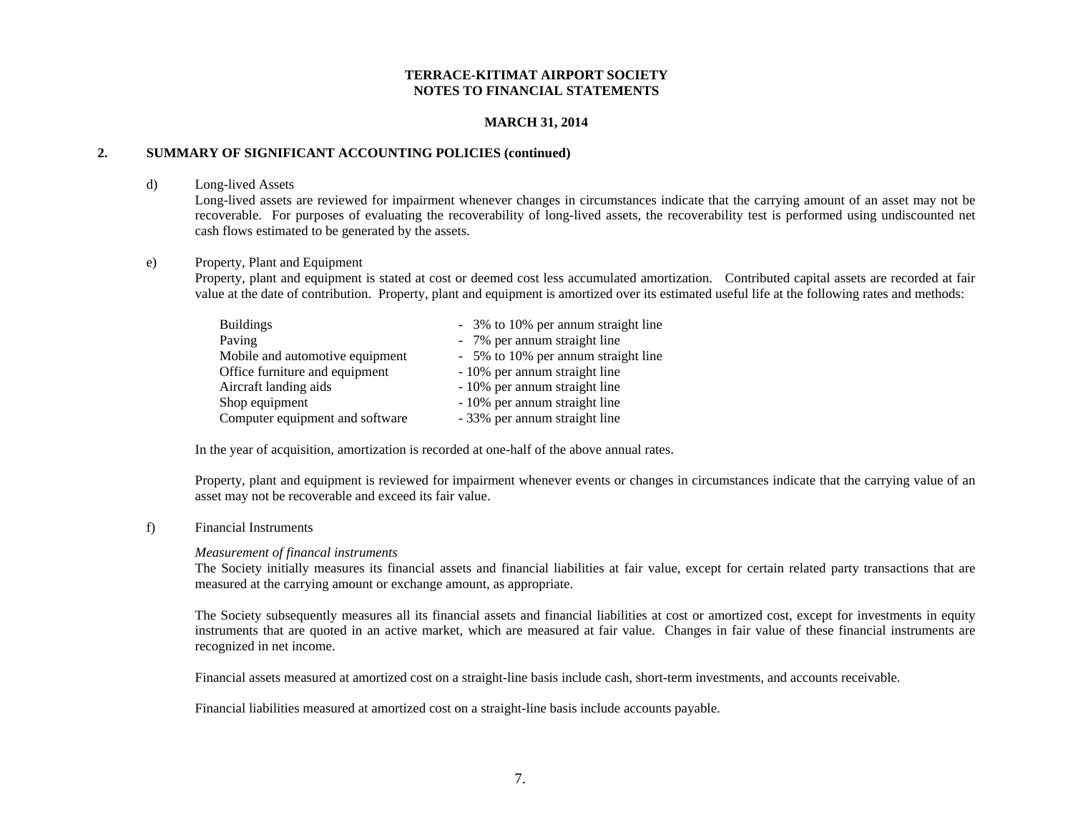## **MARCH 31, 2014**

## **2. SUMMARY OF SIGNIFICANT ACCOUNTING POLICIES (continued)**

#### d) Long-lived Assets

Long-lived assets are reviewed for impairment whenever changes in circumstances indicate that the carrying amount of an asset may not be recoverable. For purposes of evaluating the recoverability of long-lived assets, the recoverability test is performed using undiscounted net cash flows estimated to be generated by the assets.

### e) Property, Plant and Equipment

Property, plant and equipment is stated at cost or deemed cost less accumulated amortization. Contributed capital assets are recorded at fair value at the date of contribution. Property, plant and equipment is amortized over its estimated useful life at the following rates and methods:

| <b>Buildings</b>                | - 3% to 10% per annum straight line |
|---------------------------------|-------------------------------------|
| Paving                          | - 7% per annum straight line        |
| Mobile and automotive equipment | - 5% to 10% per annum straight line |
| Office furniture and equipment  | - 10% per annum straight line       |
| Aircraft landing aids           | - 10% per annum straight line       |
| Shop equipment                  | - 10% per annum straight line       |
| Computer equipment and software | - 33% per annum straight line       |

In the year of acquisition, amortization is recorded at one-half of the above annual rates.

Property, plant and equipment is reviewed for impairment whenever events or changes in circumstances indicate that the carrying value of an asset may not be recoverable and exceed its fair value.

### f) Financial Instruments

### *Measurement of financal instruments*

The Society initially measures its financial assets and financial liabilities at fair value, except for certain related party transactions that are measured at the carrying amount or exchange amount, as appropriate.

The Society subsequently measures all its financial assets and financial liabilities at cost or amortized cost, except for investments in equity instruments that are quoted in an active market, which are measured at fair value. Changes in fair value of these financial instruments are recognized in net income.

Financial assets measured at amortized cost on a straight-line basis include cash, short-term investments, and accounts receivable.

Financial liabilities measured at amortized cost on a straight-line basis include accounts payable.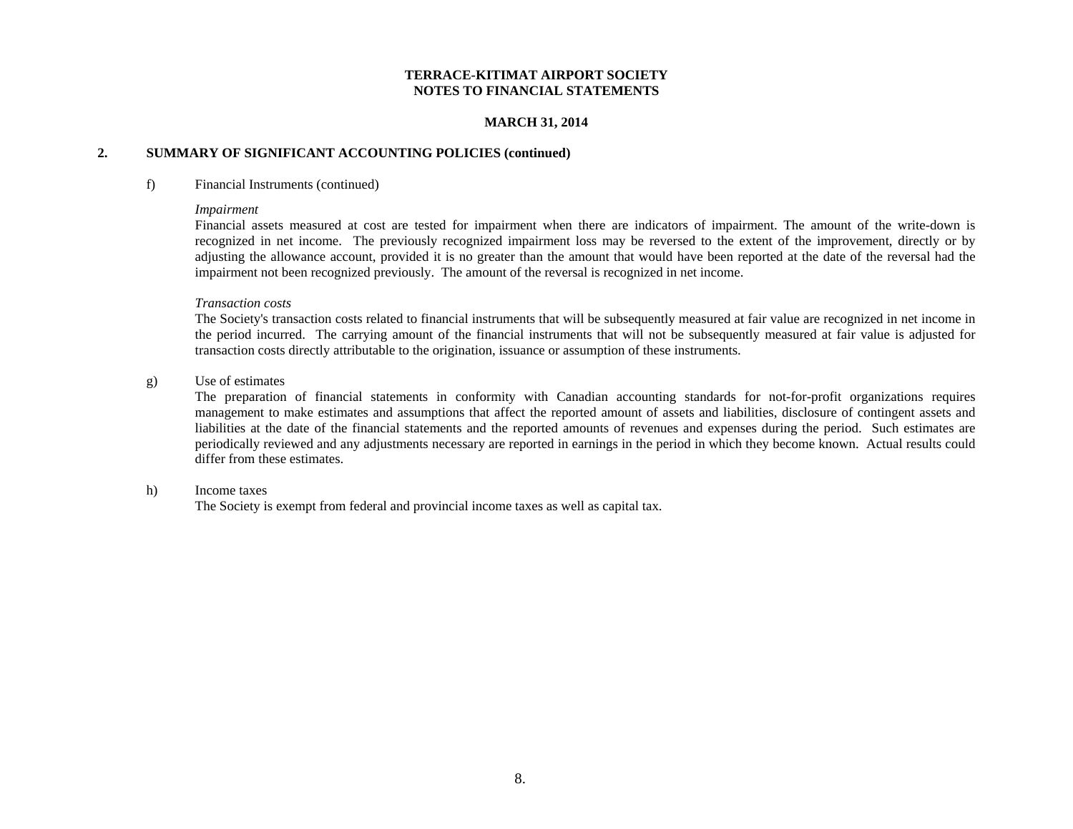### **MARCH 31, 2014**

### **2. SUMMARY OF SIGNIFICANT ACCOUNTING POLICIES (continued)**

#### f) Financial Instruments (continued)

#### *Impairment*

Financial assets measured at cost are tested for impairment when there are indicators of impairment. The amount of the write-down is recognized in net income. The previously recognized impairment loss may be reversed to the extent of the improvement, directly or by adjusting the allowance account, provided it is no greater than the amount that would have been reported at the date of the reversal had the impairment not been recognized previously. The amount of the reversal is recognized in net income.

#### *Transaction costs*

The Society's transaction costs related to financial instruments that will be subsequently measured at fair value are recognized in net income in the period incurred. The carrying amount of the financial instruments that will not be subsequently measured at fair value is adjusted for transaction costs directly attributable to the origination, issuance or assumption of these instruments.

### g) Use of estimates

The preparation of financial statements in conformity with Canadian accounting standards for not-for-profit organizations requires management to make estimates and assumptions that affect the reported amount of assets and liabilities, disclosure of contingent assets and liabilities at the date of the financial statements and the reported amounts of revenues and expenses during the period. Such estimates are periodically reviewed and any adjustments necessary are reported in earnings in the period in which they become known. Actual results could differ from these estimates.

### h) Income taxes

The Society is exempt from federal and provincial income taxes as well as capital tax.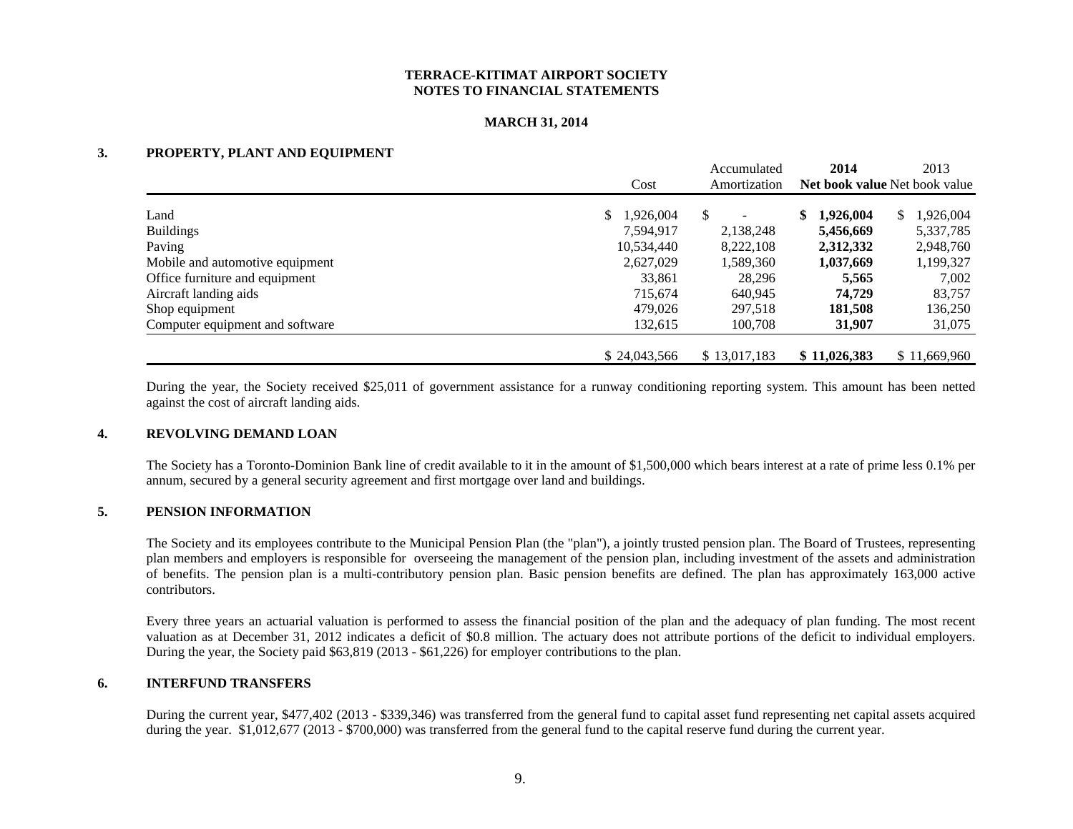## **MARCH 31, 2014**

## **3. PROPERTY, PLANT AND EQUIPMENT**

|                                 |                          | Accumulated    | 2014                         | 2013                                 |
|---------------------------------|--------------------------|----------------|------------------------------|--------------------------------------|
|                                 | Cost                     | Amortization   |                              | <b>Net book value</b> Net book value |
| Land<br><b>Buildings</b>        | \$1,926,004<br>7.594.917 | S<br>2,138,248 | 1,926,004<br>S.<br>5,456,669 | 1,926,004<br>\$.<br>5,337,785        |
| Paving                          | 10,534,440               | 8,222,108      | 2,312,332                    | 2,948,760                            |
| Mobile and automotive equipment | 2,627,029                | 1,589,360      | 1,037,669                    | 1,199,327                            |
| Office furniture and equipment  | 33,861                   | 28,296         | 5,565                        | 7,002                                |
| Aircraft landing aids           | 715,674                  | 640,945        | 74.729                       | 83,757                               |
| Shop equipment                  | 479,026                  | 297.518        | 181,508                      | 136,250                              |
| Computer equipment and software | 132,615                  | 100,708        | 31,907                       | 31,075                               |
|                                 | \$24,043,566             | \$13,017,183   | \$11,026,383                 | \$11,669,960                         |

During the year, the Society received \$25,011 of government assistance for a runway conditioning reporting system. This amount has been netted against the cost of aircraft landing aids.

### **4. REVOLVING DEMAND LOAN**

The Society has a Toronto-Dominion Bank line of credit available to it in the amount of \$1,500,000 which bears interest at a rate of prime less 0.1% per annum, secured by a general security agreement and first mortgage over land and buildings.

### **5. PENSION INFORMATION**

The Society and its employees contribute to the Municipal Pension Plan (the "plan"), a jointly trusted pension plan. The Board of Trustees, representing plan members and employers is responsible for overseeing the management of the pension plan, including investment of the assets and administration of benefits. The pension plan is a multi-contributory pension plan. Basic pension benefits are defined. The plan has approximately 163,000 active contributors.

Every three years an actuarial valuation is performed to assess the financial position of the plan and the adequacy of plan funding. The most recent valuation as at December 31, 2012 indicates a deficit of \$0.8 million. The actuary does not attribute portions of the deficit to individual employers. During the year, the Society paid \$63,819 (2013 - \$61,226) for employer contributions to the plan.

### **6. INTERFUND TRANSFERS**

During the current year, \$477,402 (2013 - \$339,346) was transferred from the general fund to capital asset fund representing net capital assets acquired during the year. \$1,012,677 (2013 - \$700,000) was transferred from the general fund to the capital reserve fund during the current year.